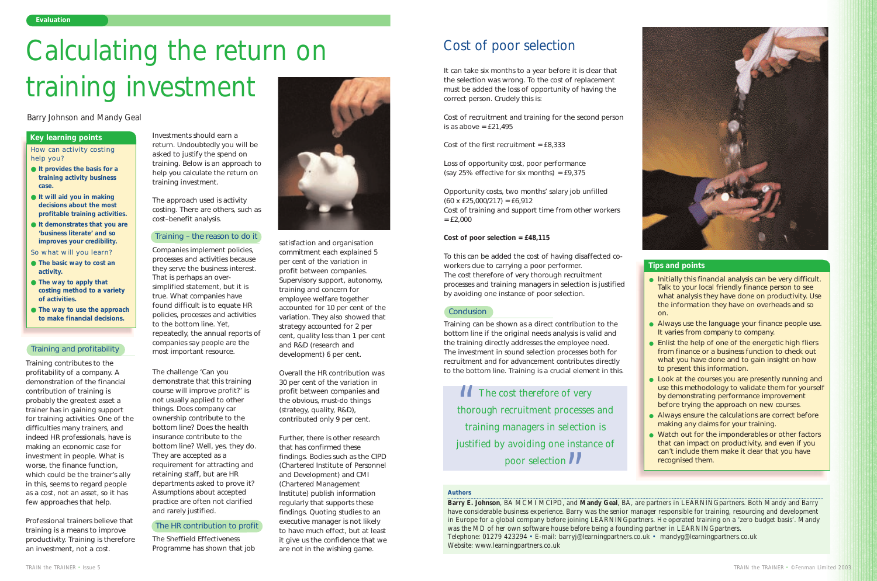Training contributes to the profitability of a company. A demonstration of the financial contribution of training is probably the greatest asset a trainer has in gaining support for training activities. One of the difficulties many trainers, and indeed HR professionals, have is making an economic case for investment in people. What is worse, the finance function, which could be the trainer's ally in this, seems to regard people as a *cost*, not an *asset*, so it has few approaches that help.

Professional trainers believe that training is a means to improve productivity. Training is therefore an investment, not a cost.

Investments should earn a return. Undoubtedly you will be asked to justify the spend on training. Below is an approach to help you calculate the return on training investment.

The approach used is activity costing. There are others, such as cost–benefit analysis.

Companies implement policies, processes and activities because they serve the business interest. That is perhaps an oversimplified statement, but it is true. What companies have found difficult is to equate HR policies, processes and activities to the bottom line. Yet, repeatedly, the annual reports of companies say people are the most important resource.

The challenge 'Can you demonstrate that this training course will improve profit?' is not usually applied to other things. Does company car ownership contribute to the bottom line? Does the health insurance contribute to the bottom line? Well, yes, they do. They are accepted as a requirement for attracting and retaining staff, but are HR departments asked to prove it? Assumptions about accepted practice are often not clarified and rarely justified.

#### The HR contribution to profit

The Sheffield Effectiveness Programme has shown that job



Cost of recruitment and training for the second person is as above  $=$  £21,495

Cost of the first recruitment =  $£8.333$ 

Loss of opportunity cost, poor performance (say 25% effective for six months) =  $£9,375$ 

Opportunity costs, two months' salary job unfilled  $(60 \times \text{\pounds}25,000/217) = \text{\pounds}6,912$ Cost of training and support time from other workers  $=$  £2,000

satisfaction and organisation commitment each explained 5 per cent of the variation in profit between companies. Supervisory support, autonomy, training and concern for employee welfare together accounted for 10 per cent of the variation. They also showed that strategy accounted for 2 per cent, quality less than 1 per cent and R&D (research and development) 6 per cent.

Overall the HR contribution was 30 per cent of the variation in profit between companies and the obvious, must-do things (strategy, quality, R&D), contributed only 9 per cent.

Further, there is other research that has confirmed these findings. Bodies such as the CIPD (Chartered Institute of Personnel and Development) and CMI (Chartered Management Institute) publish information regularly that supports these findings. Quoting studies to an executive manager is not likely to have much effect, but at least it give us the confidence that we are not in the wishing game.



How can activity costing help you?

> ● Enlist the help of one of the energetic high fliers from finance or a business function to check out what you have done and to gain insight on how to present this information.

- **It provides the basis for a training activity business case.**
- **It will aid you in making decisions about the most profitable training activities.**
- **It demonstrates that you are 'business literate' and so improves your credibility.**

● Look at the courses you are presently running and use this methodology to validate them for yourself by demonstrating performance improvement before trying the approach on new courses.

● Always ensure the calculations are correct before making any claims for your training.

So what will you learn?

*The cost therefore of very thorough recruitment processes and training managers in selection is justified by avoiding one instance of poor selection* " $\frac{1}{\sqrt{1-\frac{1}{2}}}\cos\theta$ 



- **The basic way to cost an activity.**
- **The way to apply that costing method to a variety of activities.**
- **The way to use the approach to make financial decisions.**

#### **Key learning points**

### *Barry Johnson and Mandy Geal*

#### Training and profitability

#### Training – the reason to do it

It can take six months to a year before it is clear that the selection was wrong. To the cost of replacement must be added the loss of opportunity of having the correct person. Crudely this is:

#### **Cost of poor selection = £48,115**

To this can be added the cost of having disaffected coworkers due to carrying a poor performer. The cost therefore of very thorough recruitment processes and training managers in selection is justified by avoiding one instance of poor selection.

#### **Conclusion**

Training can be shown as a direct contribution to the bottom line if the original needs analysis is valid and the training directly addresses the employee need. The investment in sound selection processes both for recruitment and for advancement contributes directly to the bottom line. Training is a crucial element in this.

#### *Authors*

**Barry E. Johnson**, BA MCMI MCIPD, and **Mandy Geal**, BA, are partners in LEARNING*partners*. Both Mandy and Barry have considerable business experience. Barry was the senior manager responsible for training, resourcing and development in Europe for a global company before joining LEARNING*partners*. He operated training on a 'zero budget basis'. Mandy was the MD of her own software house before being a founding partner in LEARNING*partners*. Telephone: 01279 423294 • E-mail: barryj@learningpartners.co.uk • mandyg@learningpartners.co.uk Website: www.learningpartners.co.uk

# Calculating the return on training investment

# Cost of poor selection

● Initially this financial analysis can be very difficult. Talk to your local friendly finance person to see what analysis they have done on productivity. Use the information they have on overheads and so

● Always use the language your finance people use. It varies from company to company.

- on.
- 
- 
- 
- 
- recognised them.

● Watch out for the imponderables or other factors that can impact on productivity, and even if you can't include them make it clear that you have

#### **Tips and points**